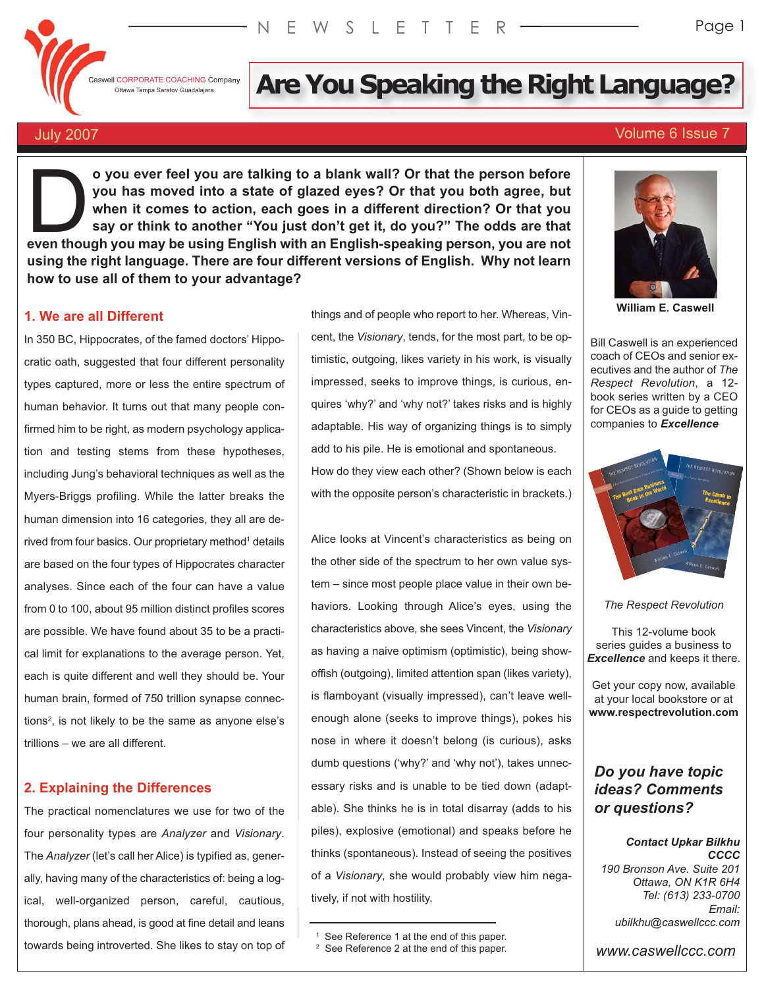

# If CORPORATE COACHING Company **Are You Speaking the Right Language?**

# July 2007 Volume 6 Issue 7

**o you ever feel you are talking to a blank wall? Or that the person before you has moved into a state of glazed eyes? Or that you both agree, but when it comes to action, each goes in a different direction? Or that you say or think to another "You just don't get it, do you?" The odds are that even though you are talking to a blank wall? Or that the person before** you has moved into a state of glazed eyes? Or that you both agree, but when it comes to action, each goes in a different direction? Or that you say o **using the right language. There are four different versions of English. Why not learn how to use all of them to your advantage?**

# **1. We are all Different**

In 350 BC, Hippocrates, of the famed doctors' Hippocratic oath, suggested that four different personality types captured, more or less the entire spectrum of human behavior. It turns out that many people confirmed him to be right, as modern psychology application and testing stems from these hypotheses, including Jung's behavioral techniques as well as the Myers-Briggs profiling. While the latter breaks the human dimension into 16 categories, they all are derived from four basics. Our proprietary method<sup>1</sup> details are based on the four types of Hippocrates character analyses. Since each of the four can have a value from 0 to 100, about 95 million distinct profiles scores are possible. We have found about 35 to be a practical limit for explanations to the average person. Yet, each is quite different and well they should be. Your human brain, formed of 750 trillion synapse connections2, is not likely to be the same as anyone else's trillions – we are all different.

# **2. Explaining the Differences**

The practical nomenclatures we use for two of the four personality types are *Analyzer* and *Visionary*. The *Analyzer* (let's call her Alice) is typified as, generally, having many of the characteristics of: being a logical, well-organized person, careful, cautious, thorough, plans ahead, is good at fine detail and leans towards being introverted. She likes to stay on top of things and of people who report to her. Whereas, Vin-

cent, the *Visionary*, tends, for the most part, to be optimistic, outgoing, likes variety in his work, is visually impressed, seeks to improve things, is curious, enquires 'why?' and 'why not?' takes risks and is highly adaptable. His way of organizing things is to simply add to his pile. He is emotional and spontaneous. How do they view each other? (Shown below is each with the opposite person's characteristic in brackets.)

Alice looks at Vincent's characteristics as being on the other side of the spectrum to her own value system – since most people place value in their own behaviors. Looking through Alice's eyes, using the characteristics above, she sees Vincent, the *Visionary* as having a naive optimism (optimistic), being showoffish (outgoing), limited attention span (likes variety), is flamboyant (visually impressed), can't leave wellenough alone (seeks to improve things), pokes his nose in where it doesn't belong (is curious), asks dumb questions ('why?' and 'why not'), takes unnecessary risks and is unable to be tied down (adaptable). She thinks he is in total disarray (adds to his piles), explosive (emotional) and speaks before he thinks (spontaneous). Instead of seeing the positives of a *Visionary*, she would probably view him negatively, if not with hostility.



**William E. Caswell**

Bill Caswell is an experienced coach of CEOs and senior executives and the author of *The Respect Revolution*, a 12 book series written by a CEO for CEOs as a guide to getting companies to *Excellence*



*The Respect Revolution*

This 12-volume book series guides a business to *Excellence* and keeps it there.

Get your copy now, available at your local bookstore or at **www.respectrevolution.com**

# *Do you have topic ideas? Comments or questions?*

#### *Contact Upkar Bilkhu CCCC*

*190 Bronson Ave. Suite 201 Ottawa, ON K1R 6H4 Tel: (613) 233-0700 Email: ubilkhu@caswellccc.com*

*www.caswellccc.com*

See Reference 1 at the end of this paper.

<sup>&</sup>lt;sup>2</sup> See Reference 2 at the end of this paper.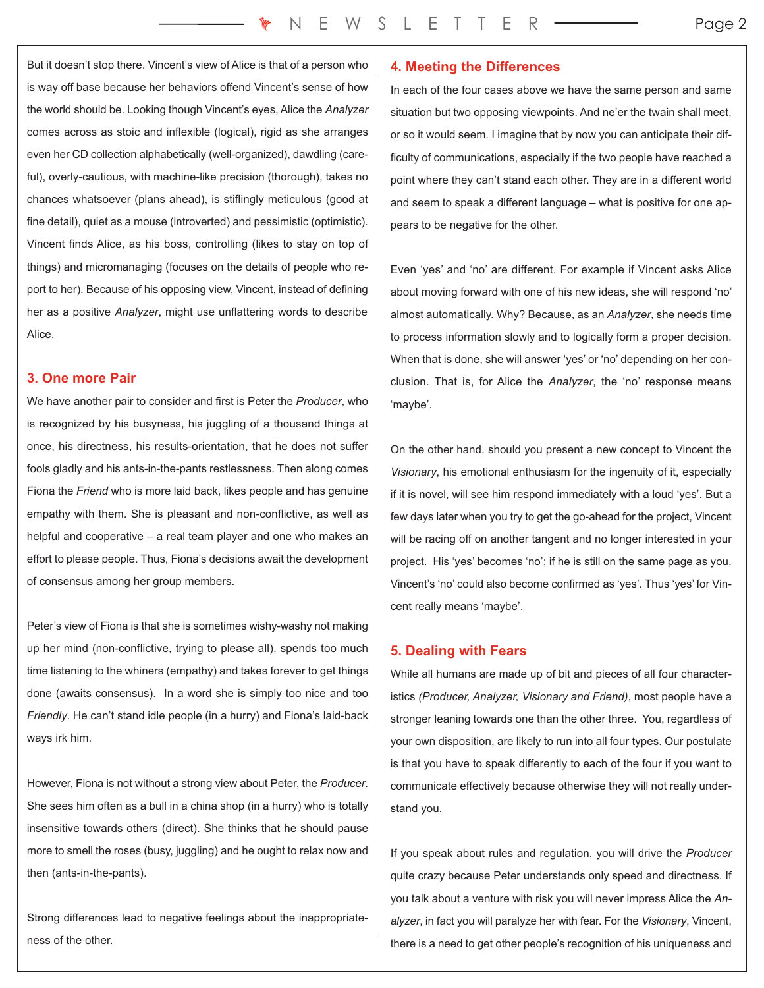But it doesn't stop there. Vincent's view of Alice is that of a person who is way off base because her behaviors offend Vincent's sense of how the world should be. Looking though Vincent's eyes, Alice the *Analyzer* comes across as stoic and inflexible (logical), rigid as she arranges even her CD collection alphabetically (well-organized), dawdling (careful), overly-cautious, with machine-like precision (thorough), takes no chances whatsoever (plans ahead), is stiflingly meticulous (good at fine detail), quiet as a mouse (introverted) and pessimistic (optimistic). Vincent finds Alice, as his boss, controlling (likes to stay on top of things) and micromanaging (focuses on the details of people who report to her). Because of his opposing view, Vincent, instead of defining her as a positive *Analyzer*, might use unflattering words to describe Alice.

# **3. One more Pair**

We have another pair to consider and first is Peter the *Producer*, who is recognized by his busyness, his juggling of a thousand things at once, his directness, his results-orientation, that he does not suffer fools gladly and his ants-in-the-pants restlessness. Then along comes Fiona the *Friend* who is more laid back, likes people and has genuine empathy with them. She is pleasant and non-conflictive, as well as helpful and cooperative – a real team player and one who makes an effort to please people. Thus, Fiona's decisions await the development of consensus among her group members.

Peter's view of Fiona is that she is sometimes wishy-washy not making up her mind (non-conflictive, trying to please all), spends too much time listening to the whiners (empathy) and takes forever to get things done (awaits consensus). In a word she is simply too nice and too *Friendly*. He can't stand idle people (in a hurry) and Fiona's laid-back ways irk him.

However, Fiona is not without a strong view about Peter, the *Producer*. She sees him often as a bull in a china shop (in a hurry) who is totally insensitive towards others (direct). She thinks that he should pause more to smell the roses (busy, juggling) and he ought to relax now and then (ants-in-the-pants).

Strong differences lead to negative feelings about the inappropriateness of the other.

# **4. Meeting the Differences**

In each of the four cases above we have the same person and same situation but two opposing viewpoints. And ne'er the twain shall meet, or so it would seem. I imagine that by now you can anticipate their difficulty of communications, especially if the two people have reached a point where they can't stand each other. They are in a different world and seem to speak a different language – what is positive for one appears to be negative for the other.

Even 'yes' and 'no' are different. For example if Vincent asks Alice about moving forward with one of his new ideas, she will respond 'no' almost automatically. Why? Because, as an *Analyzer*, she needs time to process information slowly and to logically form a proper decision. When that is done, she will answer 'yes' or 'no' depending on her conclusion. That is, for Alice the *Analyzer*, the 'no' response means 'maybe'.

On the other hand, should you present a new concept to Vincent the *Visionary*, his emotional enthusiasm for the ingenuity of it, especially if it is novel, will see him respond immediately with a loud 'yes'. But a few days later when you try to get the go-ahead for the project, Vincent will be racing off on another tangent and no longer interested in your project. His 'yes' becomes 'no'; if he is still on the same page as you, Vincent's 'no' could also become confirmed as 'yes'. Thus 'yes' for Vincent really means 'maybe'.

# **5. Dealing with Fears**

While all humans are made up of bit and pieces of all four characteristics *(Producer, Analyzer, Visionary and Friend)*, most people have a stronger leaning towards one than the other three. You, regardless of your own disposition, are likely to run into all four types. Our postulate is that you have to speak differently to each of the four if you want to communicate effectively because otherwise they will not really understand you.

If you speak about rules and regulation, you will drive the *Producer* quite crazy because Peter understands only speed and directness. If you talk about a venture with risk you will never impress Alice the *Analyzer*, in fact you will paralyze her with fear. For the *Visionary*, Vincent, there is a need to get other people's recognition of his uniqueness and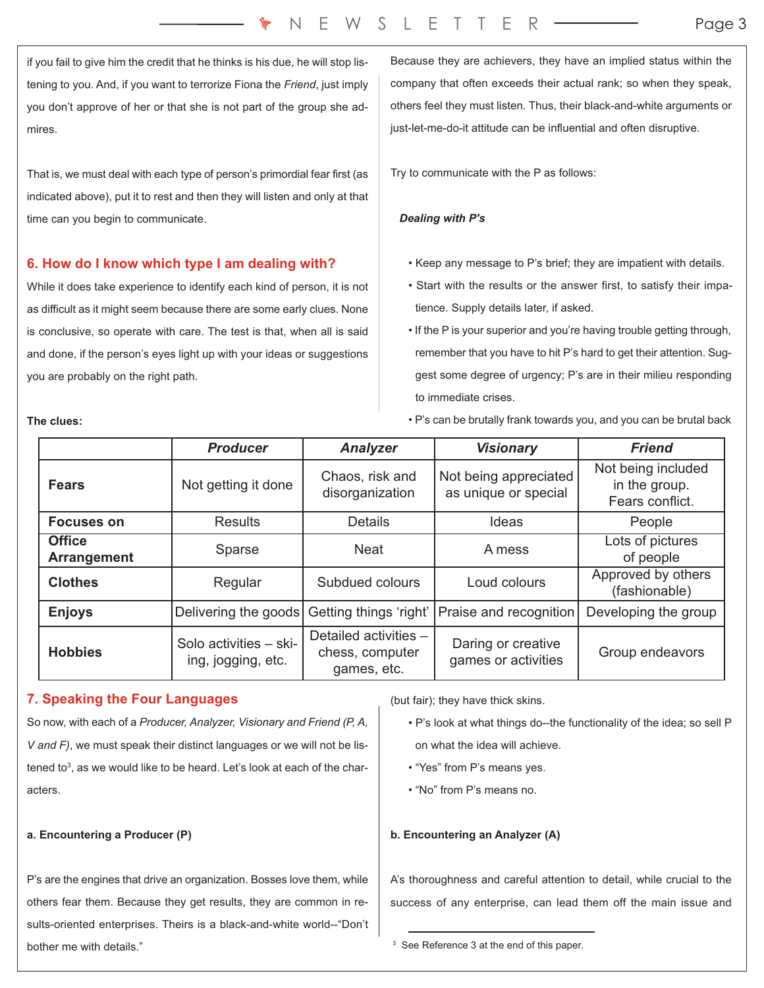if you fail to give him the credit that he thinks is his due, he will stop listening to you. And, if you want to terrorize Fiona the *Friend*, just imply you don't approve of her or that she is not part of the group she admires.

That is, we must deal with each type of person's primordial fear first (as indicated above), put it to rest and then they will listen and only at that time can you begin to communicate.

# **6. How do I know which type I am dealing with?**

While it does take experience to identify each kind of person, it is not as difficult as it might seem because there are some early clues. None is conclusive, so operate with care. The test is that, when all is said and done, if the person's eyes light up with your ideas or suggestions you are probably on the right path.

Because they are achievers, they have an implied status within the company that often exceeds their actual rank; so when they speak, others feel they must listen. Thus, their black-and-white arguments or just-let-me-do-it attitude can be influential and often disruptive.

Try to communicate with the P as follows:

# *Dealing with P's*

- Keep any message to P's brief; they are impatient with details.
- Start with the results or the answer first, to satisfy their impatience. Supply details later, if asked.
- If the P is your superior and you're having trouble getting through, remember that you have to hit P's hard to get their attention. Suggest some degree of urgency; P's are in their milieu responding to immediate crises.
- P's can be brutally frank towards you, and you can be brutal back

|                                     | <b>Producer</b>                              | <b>Analyzer</b>                                         | <b>Visionary</b>                              | <b>Friend</b>                                          |
|-------------------------------------|----------------------------------------------|---------------------------------------------------------|-----------------------------------------------|--------------------------------------------------------|
| <b>Fears</b>                        | Not getting it done                          | Chaos, risk and<br>disorganization                      | Not being appreciated<br>as unique or special | Not being included<br>in the group.<br>Fears conflict. |
| <b>Focuses on</b>                   | <b>Results</b>                               | <b>Details</b>                                          | Ideas                                         | People                                                 |
| <b>Office</b><br><b>Arrangement</b> | Sparse                                       | <b>Neat</b>                                             | A mess                                        | Lots of pictures<br>of people                          |
| <b>Clothes</b>                      | Regular                                      | Subdued colours                                         | Loud colours                                  | Approved by others<br>(fashionable)                    |
| <b>Enjoys</b>                       | Delivering the goods                         | Getting things 'right'                                  | Praise and recognition                        | Developing the group                                   |
| <b>Hobbies</b>                      | Solo activities - ski-<br>ing, jogging, etc. | Detailed activities -<br>chess, computer<br>games, etc. | Daring or creative<br>games or activities     | Group endeavors                                        |

# **7. Speaking the Four Languages**

So now, with each of a *Producer, Analyzer, Visionary and Friend (P, A, V and F)*, we must speak their distinct languages or we will not be listened to $3$ , as we would like to be heard. Let's look at each of the characters.

# **a. Encountering a Producer (P)**

P's are the engines that drive an organization. Bosses love them, while others fear them. Because they get results, they are common in results-oriented enterprises. Theirs is a black-and-white world--"Don't bother me with details."

(but fair); they have thick skins.

- P's look at what things do--the functionality of the idea; so sell P on what the idea will achieve.
- "Yes" from P's means yes.
- "No" from P's means no.

# **b. Encountering an Analyzer (A)**

A's thoroughness and careful attention to detail, while crucial to the success of any enterprise, can lead them off the main issue and

<sup>3</sup> See Reference 3 at the end of this paper.

**The clues:**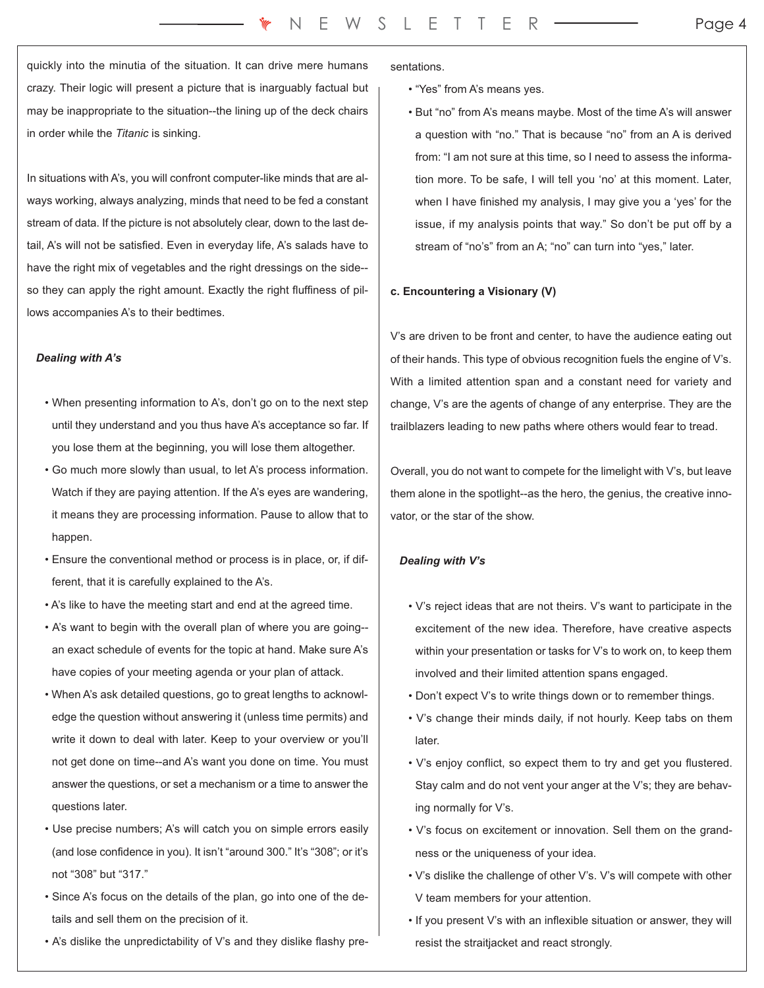quickly into the minutia of the situation. It can drive mere humans crazy. Their logic will present a picture that is inarguably factual but may be inappropriate to the situation--the lining up of the deck chairs in order while the *Titanic* is sinking.

In situations with A's, you will confront computer-like minds that are always working, always analyzing, minds that need to be fed a constant stream of data. If the picture is not absolutely clear, down to the last detail, A's will not be satisfied. Even in everyday life, A's salads have to have the right mix of vegetables and the right dressings on the side- so they can apply the right amount. Exactly the right fluffiness of pillows accompanies A's to their bedtimes.

#### *Dealing with A's*

- When presenting information to A's, don't go on to the next step until they understand and you thus have A's acceptance so far. If you lose them at the beginning, you will lose them altogether.
- Go much more slowly than usual, to let A's process information. Watch if they are paying attention. If the A's eyes are wandering, it means they are processing information. Pause to allow that to happen.
- Ensure the conventional method or process is in place, or, if different, that it is carefully explained to the A's.
- A's like to have the meeting start and end at the agreed time.
- A's want to begin with the overall plan of where you are going- an exact schedule of events for the topic at hand. Make sure A's have copies of your meeting agenda or your plan of attack.
- When A's ask detailed questions, go to great lengths to acknowledge the question without answering it (unless time permits) and write it down to deal with later. Keep to your overview or you'll not get done on time--and A's want you done on time. You must answer the questions, or set a mechanism or a time to answer the questions later.
- Use precise numbers; A's will catch you on simple errors easily (and lose confidence in you). It isn't "around 300." It's "308"; or it's not "308" but "317."
- Since A's focus on the details of the plan, go into one of the details and sell them on the precision of it.
- A's dislike the unpredictability of V's and they dislike flashy pre-

sentations.

- "Yes" from A's means yes.
- But "no" from A's means maybe. Most of the time A's will answer a question with "no." That is because "no" from an A is derived from: "I am not sure at this time, so I need to assess the information more. To be safe, I will tell you 'no' at this moment. Later, when I have finished my analysis, I may give you a 'yes' for the issue, if my analysis points that way." So don't be put off by a stream of "no's" from an A; "no" can turn into "yes," later.

#### **c. Encountering a Visionary (V)**

V's are driven to be front and center, to have the audience eating out of their hands. This type of obvious recognition fuels the engine of V's. With a limited attention span and a constant need for variety and change, V's are the agents of change of any enterprise. They are the trailblazers leading to new paths where others would fear to tread.

Overall, you do not want to compete for the limelight with V's, but leave them alone in the spotlight--as the hero, the genius, the creative innovator, or the star of the show.

#### *Dealing with V's*

- V's reject ideas that are not theirs. V's want to participate in the excitement of the new idea. Therefore, have creative aspects within your presentation or tasks for V's to work on, to keep them involved and their limited attention spans engaged.
- Don't expect V's to write things down or to remember things.
- V's change their minds daily, if not hourly. Keep tabs on them later.
- V's enjoy conflict, so expect them to try and get you flustered. Stay calm and do not vent your anger at the V's; they are behaving normally for V's.
- V's focus on excitement or innovation. Sell them on the grandness or the uniqueness of your idea.
- V's dislike the challenge of other V's. V's will compete with other V team members for your attention.
- If you present V's with an inflexible situation or answer, they will resist the straitjacket and react strongly.